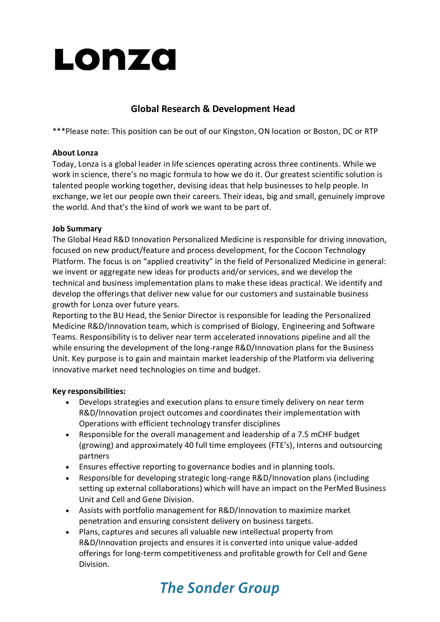

# **Global Research & Development Head**

\*\*\*Please note: This position can be out of our Kingston, ON location or Boston, DC or RTP

### **About Lonza**

Today, Lonza is a global leader in life sciences operating across three continents. While we work in science, there's no magic formula to how we do it. Our greatest scientific solution is talented people working together, devising ideas that help businesses to help people. In exchange, we let our people own their careers. Their ideas, big and small, genuinely improve the world. And that's the kind of work we want to be part of.

## **Job Summary**

The Global Head R&D Innovation Personalized Medicine is responsible for driving innovation, focused on new product/feature and process development, for the Cocoon Technology Platform. The focus is on "applied creativity" in the field of Personalized Medicine in general: we invent or aggregate new ideas for products and/or services, and we develop the technical and business implementation plans to make these ideas practical. We identify and develop the offerings that deliver new value for our customers and sustainable business growth for Lonza over future years.

Reporting to the BU Head, the Senior Director is responsible for leading the Personalized Medicine R&D/Innovation team, which is comprised of Biology, Engineering and Software Teams. Responsibility is to deliver near term accelerated innovations pipeline and all the while ensuring the development of the long-range R&D/Innovation plans for the Business Unit. Key purpose is to gain and maintain market leadership of the Platform via delivering innovative market need technologies on time and budget.

#### **Key responsibilities:**

- Develops strategies and execution plans to ensure timely delivery on near term R&D/Innovation project outcomes and coordinates their implementation with Operations with efficient technology transfer disciplines
- Responsible for the overall management and leadership of a 7.5 mCHF budget (growing) and approximately 40 full time employees (FTE's), Interns and outsourcing partners
- Ensures effective reporting to governance bodies and in planning tools.
- Responsible for developing strategic long-range R&D/Innovation plans (including setting up external collaborations) which will have an impact on the PerMed Business Unit and Cell and Gene Division.
- Assists with portfolio management for R&D/Innovation to maximize market penetration and ensuring consistent delivery on business targets.
- Plans, captures and secures all valuable new intellectual property from R&D/Innovation projects and ensures it is converted into unique value-added offerings for long-term competitiveness and profitable growth for Cell and Gene Division.

# **The Sonder Group**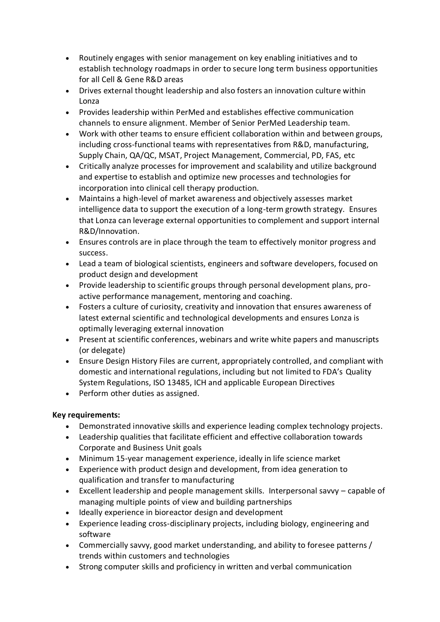- Routinely engages with senior management on key enabling initiatives and to establish technology roadmaps in order to secure long term business opportunities for all Cell & Gene R&D areas
- Drives external thought leadership and also fosters an innovation culture within Lonza
- Provides leadership within PerMed and establishes effective communication channels to ensure alignment. Member of Senior PerMed Leadership team.
- Work with other teams to ensure efficient collaboration within and between groups, including cross-functional teams with representatives from R&D, manufacturing, Supply Chain, QA/QC, MSAT, Project Management, Commercial, PD, FAS, etc
- Critically analyze processes for improvement and scalability and utilize background and expertise to establish and optimize new processes and technologies for incorporation into clinical cell therapy production.
- Maintains a high-level of market awareness and objectively assesses market intelligence data to support the execution of a long-term growth strategy. Ensures that Lonza can leverage external opportunities to complement and support internal R&D/Innovation.
- Ensures controls are in place through the team to effectively monitor progress and success.
- Lead a team of biological scientists, engineers and software developers, focused on product design and development
- Provide leadership to scientific groups through personal development plans, proactive performance management, mentoring and coaching.
- Fosters a culture of curiosity, creativity and innovation that ensures awareness of latest external scientific and technological developments and ensures Lonza is optimally leveraging external innovation
- Present at scientific conferences, webinars and write white papers and manuscripts (or delegate)
- Ensure Design History Files are current, appropriately controlled, and compliant with domestic and international regulations, including but not limited to FDA's Quality System Regulations, ISO 13485, ICH and applicable European Directives
- Perform other duties as assigned.

## **Key requirements:**

- Demonstrated innovative skills and experience leading complex technology projects.
- Leadership qualities that facilitate efficient and effective collaboration towards Corporate and Business Unit goals
- Minimum 15-year management experience, ideally in life science market
- Experience with product design and development, from idea generation to qualification and transfer to manufacturing
- Excellent leadership and people management skills. Interpersonal savvy capable of managing multiple points of view and building partnerships
- Ideally experience in bioreactor design and development
- Experience leading cross-disciplinary projects, including biology, engineering and software
- Commercially savvy, good market understanding, and ability to foresee patterns / trends within customers and technologies
- Strong computer skills and proficiency in written and verbal communication